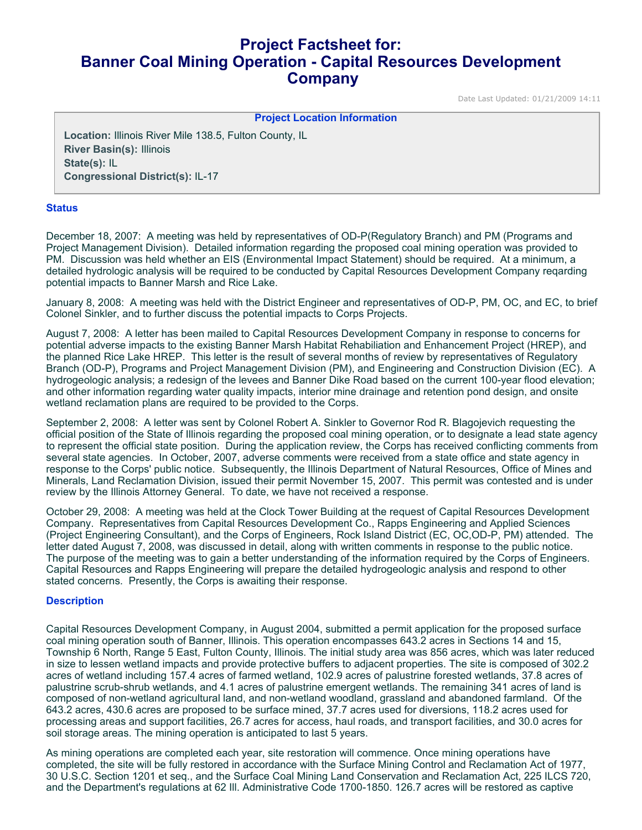# **Project Factsheet for: Banner Coal Mining Operation - Capital Resources Development Company**

Date Last Updated: 01/21/2009 14:11

#### **Project Location Information**

**Location:** Illinois River Mile 138.5, Fulton County, IL **River Basin(s):** Illinois **State(s):** IL **Congressional District(s):** IL-17

## **Status**

December 18, 2007: A meeting was held by representatives of OD-P(Regulatory Branch) and PM (Programs and Project Management Division). Detailed information regarding the proposed coal mining operation was provided to PM. Discussion was held whether an EIS (Environmental Impact Statement) should be required. At a minimum, a detailed hydrologic analysis will be required to be conducted by Capital Resources Development Company reqarding potential impacts to Banner Marsh and Rice Lake.

January 8, 2008: A meeting was held with the District Engineer and representatives of OD-P, PM, OC, and EC, to brief Colonel Sinkler, and to further discuss the potential impacts to Corps Projects.

August 7, 2008: A letter has been mailed to Capital Resources Development Company in response to concerns for potential adverse impacts to the existing Banner Marsh Habitat Rehabiliation and Enhancement Project (HREP), and the planned Rice Lake HREP. This letter is the result of several months of review by representatives of Regulatory Branch (OD-P), Programs and Project Management Division (PM), and Engineering and Construction Division (EC). A hydrogeologic analysis; a redesign of the levees and Banner Dike Road based on the current 100-year flood elevation; and other information regarding water quality impacts, interior mine drainage and retention pond design, and onsite wetland reclamation plans are required to be provided to the Corps.

September 2, 2008: A letter was sent by Colonel Robert A. Sinkler to Governor Rod R. Blagojevich requesting the official position of the State of Illinois regarding the proposed coal mining operation, or to designate a lead state agency to represent the official state position. During the application review, the Corps has received conflicting comments from several state agencies. In October, 2007, adverse comments were received from a state office and state agency in response to the Corps' public notice. Subsequently, the Illinois Department of Natural Resources, Office of Mines and Minerals, Land Reclamation Division, issued their permit November 15, 2007. This permit was contested and is under review by the Illinois Attorney General. To date, we have not received a response.

October 29, 2008: A meeting was held at the Clock Tower Building at the request of Capital Resources Development Company. Representatives from Capital Resources Development Co., Rapps Engineering and Applied Sciences (Project Engineering Consultant), and the Corps of Engineers, Rock Island District (EC, OC,OD-P, PM) attended. The letter dated August 7, 2008, was discussed in detail, along with written comments in response to the public notice. The purpose of the meeting was to gain a better understanding of the information required by the Corps of Engineers. Capital Resources and Rapps Engineering will prepare the detailed hydrogeologic analysis and respond to other stated concerns. Presently, the Corps is awaiting their response.

## **Description**

Capital Resources Development Company, in August 2004, submitted a permit application for the proposed surface coal mining operation south of Banner, Illinois. This operation encompasses 643.2 acres in Sections 14 and 15, Township 6 North, Range 5 East, Fulton County, Illinois. The initial study area was 856 acres, which was later reduced in size to lessen wetland impacts and provide protective buffers to adjacent properties. The site is composed of 302.2 acres of wetland including 157.4 acres of farmed wetland, 102.9 acres of palustrine forested wetlands, 37.8 acres of palustrine scrub-shrub wetlands, and 4.1 acres of palustrine emergent wetlands. The remaining 341 acres of land is composed of non-wetland agricultural land, and non-wetland woodland, grassland and abandoned farmland. Of the 643.2 acres, 430.6 acres are proposed to be surface mined, 37.7 acres used for diversions, 118.2 acres used for processing areas and support facilities, 26.7 acres for access, haul roads, and transport facilities, and 30.0 acres for soil storage areas. The mining operation is anticipated to last 5 years.

As mining operations are completed each year, site restoration will commence. Once mining operations have completed, the site will be fully restored in accordance with the Surface Mining Control and Reclamation Act of 1977, 30 U.S.C. Section 1201 et seq., and the Surface Coal Mining Land Conservation and Reclamation Act, 225 ILCS 720, and the Department's regulations at 62 Ill. Administrative Code 1700-1850. 126.7 acres will be restored as captive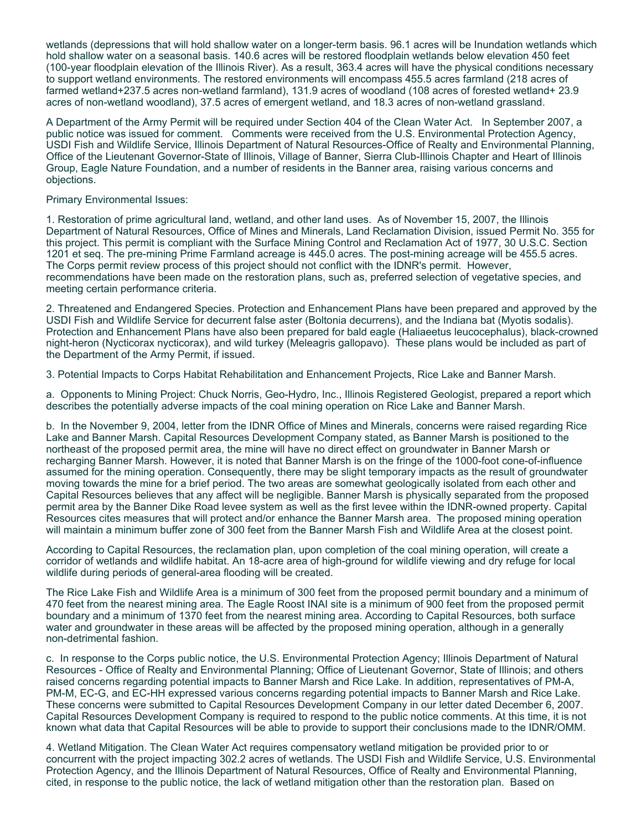wetlands (depressions that will hold shallow water on a longer-term basis. 96.1 acres will be Inundation wetlands which hold shallow water on a seasonal basis. 140.6 acres will be restored floodplain wetlands below elevation 450 feet (100-year floodplain elevation of the Illinois River). As a result, 363.4 acres will have the physical conditions necessary to support wetland environments. The restored environments will encompass 455.5 acres farmland (218 acres of farmed wetland+237.5 acres non-wetland farmland), 131.9 acres of woodland (108 acres of forested wetland+ 23.9 acres of non-wetland woodland), 37.5 acres of emergent wetland, and 18.3 acres of non-wetland grassland.

A Department of the Army Permit will be required under Section 404 of the Clean Water Act. In September 2007, a public notice was issued for comment. Comments were received from the U.S. Environmental Protection Agency, USDI Fish and Wildlife Service, Illinois Department of Natural Resources-Office of Realty and Environmental Planning, Office of the Lieutenant Governor-State of Illinois, Village of Banner, Sierra Club-Illinois Chapter and Heart of Illinois Group, Eagle Nature Foundation, and a number of residents in the Banner area, raising various concerns and objections.

Primary Environmental Issues:

1. Restoration of prime agricultural land, wetland, and other land uses. As of November 15, 2007, the Illinois Department of Natural Resources, Office of Mines and Minerals, Land Reclamation Division, issued Permit No. 355 for this project. This permit is compliant with the Surface Mining Control and Reclamation Act of 1977, 30 U.S.C. Section 1201 et seq. The pre-mining Prime Farmland acreage is 445.0 acres. The post-mining acreage will be 455.5 acres. The Corps permit review process of this project should not conflict with the IDNR's permit. However, recommendations have been made on the restoration plans, such as, preferred selection of vegetative species, and meeting certain performance criteria.

2. Threatened and Endangered Species. Protection and Enhancement Plans have been prepared and approved by the USDI Fish and Wildlife Service for decurrent false aster (Boltonia decurrens), and the Indiana bat (Myotis sodalis). Protection and Enhancement Plans have also been prepared for bald eagle (Haliaeetus leucocephalus), black-crowned night-heron (Nycticorax nycticorax), and wild turkey (Meleagris gallopavo). These plans would be included as part of the Department of the Army Permit, if issued.

3. Potential Impacts to Corps Habitat Rehabilitation and Enhancement Projects, Rice Lake and Banner Marsh.

a. Opponents to Mining Project: Chuck Norris, Geo-Hydro, Inc., Illinois Registered Geologist, prepared a report which describes the potentially adverse impacts of the coal mining operation on Rice Lake and Banner Marsh.

b. In the November 9, 2004, letter from the IDNR Office of Mines and Minerals, concerns were raised regarding Rice Lake and Banner Marsh. Capital Resources Development Company stated, as Banner Marsh is positioned to the northeast of the proposed permit area, the mine will have no direct effect on groundwater in Banner Marsh or recharging Banner Marsh. However, it is noted that Banner Marsh is on the fringe of the 1000-foot cone-of-influence assumed for the mining operation. Consequently, there may be slight temporary impacts as the result of groundwater moving towards the mine for a brief period. The two areas are somewhat geologically isolated from each other and Capital Resources believes that any affect will be negligible. Banner Marsh is physically separated from the proposed permit area by the Banner Dike Road levee system as well as the first levee within the IDNR-owned property. Capital Resources cites measures that will protect and/or enhance the Banner Marsh area. The proposed mining operation will maintain a minimum buffer zone of 300 feet from the Banner Marsh Fish and Wildlife Area at the closest point.

According to Capital Resources, the reclamation plan, upon completion of the coal mining operation, will create a corridor of wetlands and wildlife habitat. An 18-acre area of high-ground for wildlife viewing and dry refuge for local wildlife during periods of general-area flooding will be created.

The Rice Lake Fish and Wildlife Area is a minimum of 300 feet from the proposed permit boundary and a minimum of 470 feet from the nearest mining area. The Eagle Roost INAI site is a minimum of 900 feet from the proposed permit boundary and a minimum of 1370 feet from the nearest mining area. According to Capital Resources, both surface water and groundwater in these areas will be affected by the proposed mining operation, although in a generally non-detrimental fashion.

c. In response to the Corps public notice, the U.S. Environmental Protection Agency; Illinois Department of Natural Resources - Office of Realty and Environmental Planning; Office of Lieutenant Governor, State of Illinois; and others raised concerns regarding potential impacts to Banner Marsh and Rice Lake. In addition, representatives of PM-A, PM-M, EC-G, and EC-HH expressed various concerns regarding potential impacts to Banner Marsh and Rice Lake. These concerns were submitted to Capital Resources Development Company in our letter dated December 6, 2007. Capital Resources Development Company is required to respond to the public notice comments. At this time, it is not known what data that Capital Resources will be able to provide to support their conclusions made to the IDNR/OMM.

4. Wetland Mitigation. The Clean Water Act requires compensatory wetland mitigation be provided prior to or concurrent with the project impacting 302.2 acres of wetlands. The USDI Fish and Wildlife Service, U.S. Environmental Protection Agency, and the Illinois Department of Natural Resources, Office of Realty and Environmental Planning, cited, in response to the public notice, the lack of wetland mitigation other than the restoration plan. Based on